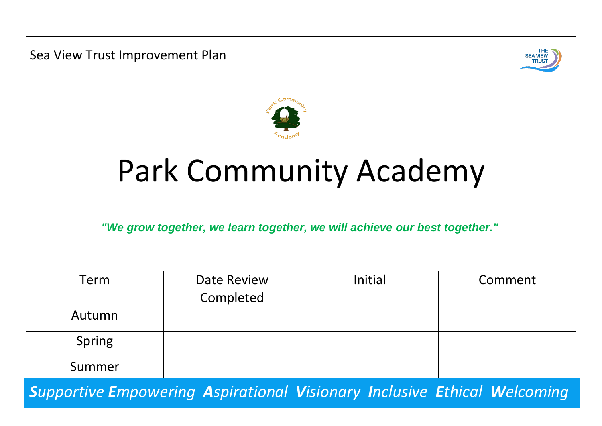Sea View Trust Improvement Plan





# Park Community Academy

*"We grow together, we learn together, we will achieve our best together."*

| Term   | Date Review | Initial | Comment |
|--------|-------------|---------|---------|
|        | Completed   |         |         |
| Autumn |             |         |         |
| Spring |             |         |         |
| Summer |             |         |         |

*Supportive Empowering Aspirational Visionary Inclusive Ethical Welcoming*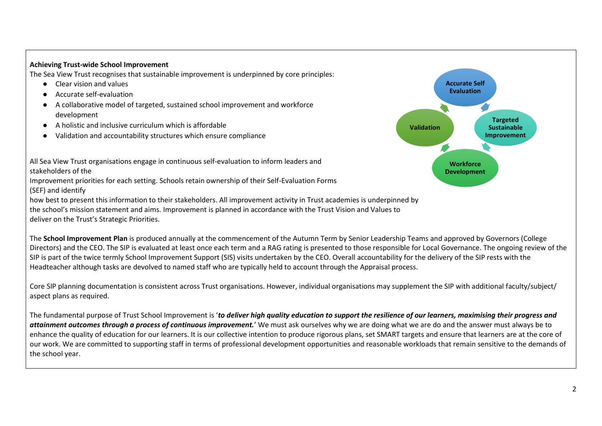## **Achieving Trust-wide School Improvement**

The Sea View Trust recognises that sustainable improvement is underpinned by core principles:

- Clear vision and values
- Accurate self-evaluation
- A collaborative model of targeted, sustained school improvement and workforce development
- A holistic and inclusive curriculum which is affordable
- Validation and accountability structures which ensure compliance



All Sea View Trust organisations engage in continuous self-evaluation to inform leaders and stakeholders of the

Improvement priorities for each setting. Schools retain ownership of their Self-Evaluation Forms (SEF) and identify

how best to present this information to their stakeholders. All improvement activity in Trust academies is underpinned by the school's mission statement and aims. Improvement is planned in accordance with the Trust Vision and Values to deliver on the Trust's Strategic Priorities.

The **School Improvement Plan** is produced annually at the commencement of the Autumn Term by Senior Leadership Teams and approved by Governors (College Directors) and the CEO. The SIP is evaluated at least once each term and a RAG rating is presented to those responsible for Local Governance. The ongoing review of the SIP is part of the twice termly School Improvement Support (SIS) visits undertaken by the CEO. Overall accountability for the delivery of the SIP rests with the Headteacher although tasks are devolved to named staff who are typically held to account through the Appraisal process.

Core SIP planning documentation is consistent across Trust organisations. However, individual organisations may supplement the SIP with additional faculty/subject/ aspect plans as required.

The fundamental purpose of Trust School Improvement is '*to deliver high quality education to support the resilience of our learners, maximising their progress and attainment outcomes through a process of continuous improvement.*' We must ask ourselves why we are doing what we are do and the answer must always be to enhance the quality of education for our learners. It is our collective intention to produce rigorous plans, set SMART targets and ensure that learners are at the core of our work. We are committed to supporting staff in terms of professional development opportunities and reasonable workloads that remain sensitive to the demands of the school year.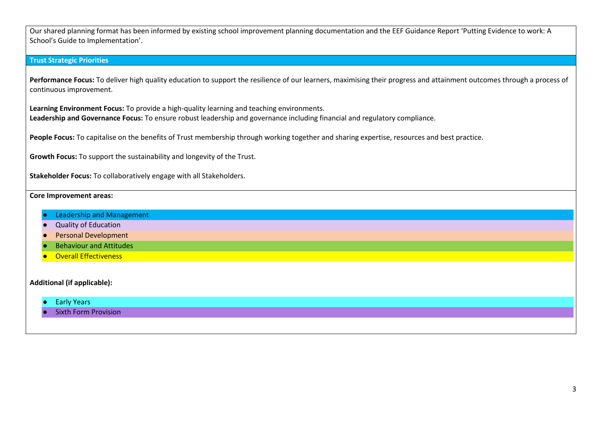Our shared planning format has been informed by existing school improvement planning documentation and the EEF Guidance Report 'Putting Evidence to work: A School's Guide to Implementation'.

## **Trust Strategic Priorities**

Performance Focus: To deliver high quality education to support the resilience of our learners, maximising their progress and attainment outcomes through a process of continuous improvement.

**Learning Environment Focus:** To provide a high-quality learning and teaching environments. **Leadership and Governance Focus:** To ensure robust leadership and governance including financial and regulatory compliance.

People Focus: To capitalise on the benefits of Trust membership through working together and sharing expertise, resources and best practice.

**Growth Focus:** To support the sustainability and longevity of the Trust.

**Stakeholder Focus:** To collaboratively engage with all Stakeholders.

## **Core Improvement areas:**

- Leadership and Management
- **Quality of Education**
- Personal Development
- **Behaviour and Attitudes**
- **Overall Effectiveness**

## **Additional (if applicable):**

- Early Years
- **Sixth Form Provision**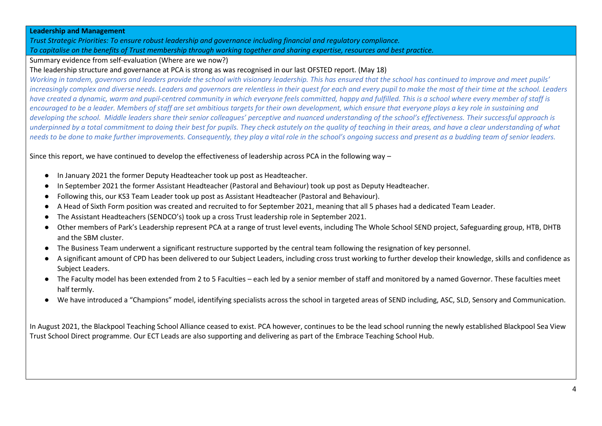#### **Leadership and Management**

*Trust Strategic Priorities: To ensure robust leadership and governance including financial and regulatory compliance. To capitalise on the benefits of Trust membership through working together and sharing expertise, resources and best practice.*

## Summary evidence from self-evaluation (Where are we now?)

## The leadership structure and governance at PCA is strong as was recognised in our last OFSTED report. (May 18)

*Working in tandem, governors and leaders provide the school with visionary leadership. This has ensured that the school has continued to improve and meet pupils' increasingly complex and diverse needs. Leaders and governors are relentless in their quest for each and every pupil to make the most of their time at the school. Leaders have created a dynamic, warm and pupil-centred community in which everyone feels committed, happy and fulfilled. This is a school where every member of staff is*  encouraged to be a leader. Members of staff are set ambitious targets for their own development, which ensure that everyone plays a key role in sustaining and *developing the school. Middle leaders share their senior colleagues' perceptive and nuanced understanding of the school's effectiveness. Their successful approach is underpinned by a total commitment to doing their best for pupils. They check astutely on the quality of teaching in their areas, and have a clear understanding of what needs to be done to make further improvements. Consequently, they play a vital role in the school's ongoing success and present as a budding team of senior leaders.* 

Since this report, we have continued to develop the effectiveness of leadership across PCA in the following way –

- In January 2021 the former Deputy Headteacher took up post as Headteacher.
- In September 2021 the former Assistant Headteacher (Pastoral and Behaviour) took up post as Deputy Headteacher.
- Following this, our KS3 Team Leader took up post as Assistant Headteacher (Pastoral and Behaviour).
- A Head of Sixth Form position was created and recruited to for September 2021, meaning that all 5 phases had a dedicated Team Leader.
- The Assistant Headteachers (SENDCO's) took up a cross Trust leadership role in September 2021.
- Other members of Park's Leadership represent PCA at a range of trust level events, including The Whole School SEND project, Safeguarding group, HTB, DHTB and the SBM cluster.
- The Business Team underwent a significant restructure supported by the central team following the resignation of key personnel.
- A significant amount of CPD has been delivered to our Subject Leaders, including cross trust working to further develop their knowledge, skills and confidence as Subject Leaders.
- The Faculty model has been extended from 2 to 5 Faculties each led by a senior member of staff and monitored by a named Governor. These faculties meet half termly.
- We have introduced a "Champions" model, identifying specialists across the school in targeted areas of SEND including, ASC, SLD, Sensory and Communication.

In August 2021, the Blackpool Teaching School Alliance ceased to exist. PCA however, continues to be the lead school running the newly established Blackpool Sea View Trust School Direct programme. Our ECT Leads are also supporting and delivering as part of the Embrace Teaching School Hub.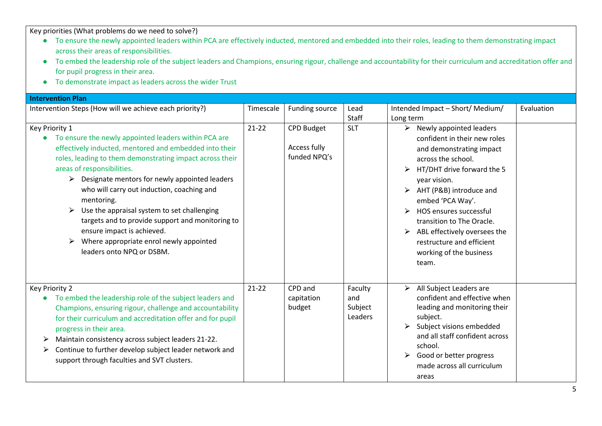- To ensure the newly appointed leaders within PCA are effectively inducted, mentored and embedded into their roles, leading to them demonstrating impact across their areas of responsibilities.
- To embed the leadership role of the subject leaders and Champions, ensuring rigour, challenge and accountability for their curriculum and accreditation offer and for pupil progress in their area.
- To demonstrate impact as leaders across the wider Trust

| <b>Intervention Plan</b>                                                                                                                                                                                                                                                                                                                                                                                                                                                                                                                                                       |           |                                                   |                                      |                                                                                                                                                                                                                                                                                                                                                                          |            |  |
|--------------------------------------------------------------------------------------------------------------------------------------------------------------------------------------------------------------------------------------------------------------------------------------------------------------------------------------------------------------------------------------------------------------------------------------------------------------------------------------------------------------------------------------------------------------------------------|-----------|---------------------------------------------------|--------------------------------------|--------------------------------------------------------------------------------------------------------------------------------------------------------------------------------------------------------------------------------------------------------------------------------------------------------------------------------------------------------------------------|------------|--|
| Intervention Steps (How will we achieve each priority?)                                                                                                                                                                                                                                                                                                                                                                                                                                                                                                                        | Timescale | Funding source                                    | Lead<br>Staff                        | Intended Impact - Short/ Medium/<br>Long term                                                                                                                                                                                                                                                                                                                            | Evaluation |  |
| Key Priority 1<br>To ensure the newly appointed leaders within PCA are<br>effectively inducted, mentored and embedded into their<br>roles, leading to them demonstrating impact across their<br>areas of responsibilities.<br>Designate mentors for newly appointed leaders<br>$\blacktriangleright$<br>who will carry out induction, coaching and<br>mentoring.<br>Use the appraisal system to set challenging<br>➤<br>targets and to provide support and monitoring to<br>ensure impact is achieved.<br>Where appropriate enrol newly appointed<br>leaders onto NPQ or DSBM. | $21-22$   | <b>CPD Budget</b><br>Access fully<br>funded NPQ's | <b>SLT</b>                           | Newly appointed leaders<br>➤<br>confident in their new roles<br>and demonstrating impact<br>across the school.<br>HT/DHT drive forward the 5<br>year vision.<br>AHT (P&B) introduce and<br>➤<br>embed 'PCA Way'.<br>HOS ensures successful<br>transition to The Oracle.<br>ABL effectively oversees the<br>restructure and efficient<br>working of the business<br>team. |            |  |
| Key Priority 2<br>To embed the leadership role of the subject leaders and<br>Champions, ensuring rigour, challenge and accountability<br>for their curriculum and accreditation offer and for pupil<br>progress in their area.<br>Maintain consistency across subject leaders 21-22.<br>➤<br>Continue to further develop subject leader network and<br>➤<br>support through faculties and SVT clusters.                                                                                                                                                                        | $21 - 22$ | CPD and<br>capitation<br>budget                   | Faculty<br>and<br>Subject<br>Leaders | All Subject Leaders are<br>➤<br>confident and effective when<br>leading and monitoring their<br>subject.<br>Subject visions embedded<br>and all staff confident across<br>school.<br>Good or better progress<br>➤<br>made across all curriculum<br>areas                                                                                                                 |            |  |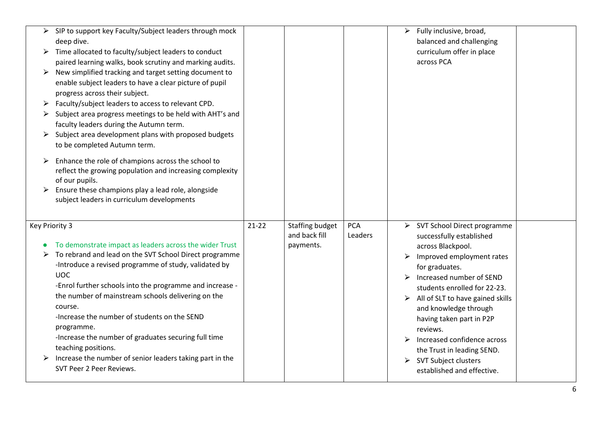| ➤ | SIP to support key Faculty/Subject leaders through mock  |         |                        |            | Fully inclusive, broad,<br>➤          |  |
|---|----------------------------------------------------------|---------|------------------------|------------|---------------------------------------|--|
|   | deep dive.                                               |         |                        |            | balanced and challenging              |  |
| ➤ | Time allocated to faculty/subject leaders to conduct     |         |                        |            | curriculum offer in place             |  |
|   | paired learning walks, book scrutiny and marking audits. |         |                        |            | across PCA                            |  |
| ➤ | New simplified tracking and target setting document to   |         |                        |            |                                       |  |
|   | enable subject leaders to have a clear picture of pupil  |         |                        |            |                                       |  |
|   | progress across their subject.                           |         |                        |            |                                       |  |
|   | Faculty/subject leaders to access to relevant CPD.       |         |                        |            |                                       |  |
|   | Subject area progress meetings to be held with AHT's and |         |                        |            |                                       |  |
|   | faculty leaders during the Autumn term.                  |         |                        |            |                                       |  |
| ➤ | Subject area development plans with proposed budgets     |         |                        |            |                                       |  |
|   | to be completed Autumn term.                             |         |                        |            |                                       |  |
|   |                                                          |         |                        |            |                                       |  |
| ➤ | Enhance the role of champions across the school to       |         |                        |            |                                       |  |
|   | reflect the growing population and increasing complexity |         |                        |            |                                       |  |
|   | of our pupils.                                           |         |                        |            |                                       |  |
| ➤ | Ensure these champions play a lead role, alongside       |         |                        |            |                                       |  |
|   | subject leaders in curriculum developments               |         |                        |            |                                       |  |
|   |                                                          |         |                        |            |                                       |  |
|   | Key Priority 3                                           | $21-22$ | <b>Staffing budget</b> | <b>PCA</b> | SVT School Direct programme<br>➤      |  |
|   |                                                          |         | and back fill          | Leaders    | successfully established              |  |
|   | To demonstrate impact as leaders across the wider Trust  |         | payments.              |            | across Blackpool.                     |  |
|   | To rebrand and lead on the SVT School Direct programme   |         |                        |            | Improved employment rates<br>➤        |  |
|   | -Introduce a revised programme of study, validated by    |         |                        |            | for graduates.                        |  |
|   | <b>UOC</b>                                               |         |                        |            | Increased number of SEND              |  |
|   | -Enrol further schools into the programme and increase - |         |                        |            | students enrolled for 22-23.          |  |
|   | the number of mainstream schools delivering on the       |         |                        |            | All of SLT to have gained skills<br>➤ |  |
|   | course.                                                  |         |                        |            | and knowledge through                 |  |
|   | -Increase the number of students on the SEND             |         |                        |            | having taken part in P2P              |  |
|   | programme.                                               |         |                        |            | reviews.                              |  |
|   | -Increase the number of graduates securing full time     |         |                        |            | Increased confidence across           |  |
|   | teaching positions.                                      |         |                        |            | the Trust in leading SEND.            |  |
|   | Increase the number of senior leaders taking part in the |         |                        |            | SVT Subject clusters<br>➤             |  |
|   | SVT Peer 2 Peer Reviews.                                 |         |                        |            | established and effective.            |  |
|   |                                                          |         |                        |            |                                       |  |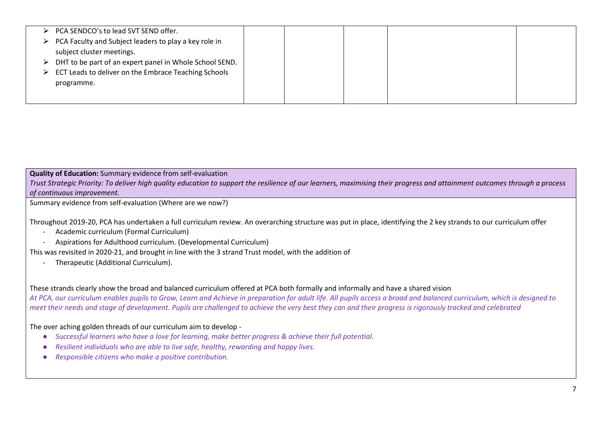| > PCA SENDCO's to lead SVT SEND offer.                                   |  |  |  |
|--------------------------------------------------------------------------|--|--|--|
| $\triangleright$ PCA Faculty and Subject leaders to play a key role in   |  |  |  |
| subject cluster meetings.                                                |  |  |  |
| $\triangleright$ DHT to be part of an expert panel in Whole School SEND. |  |  |  |
| $\triangleright$ ECT Leads to deliver on the Embrace Teaching Schools    |  |  |  |
| programme.                                                               |  |  |  |
|                                                                          |  |  |  |
|                                                                          |  |  |  |

## **Quality of Education:** Summary evidence from self-evaluation

*Trust Strategic Priority: To deliver high quality education to support the resilience of our learners, maximising their progress and attainment outcomes through a process of continuous improvement.* 

Summary evidence from self-evaluation (Where are we now?)

Throughout 2019-20, PCA has undertaken a full curriculum review. An overarching structure was put in place, identifying the 2 key strands to our curriculum offer

- Academic curriculum (Formal Curriculum)
- Aspirations for Adulthood curriculum. (Developmental Curriculum)

This was revisited in 2020-21, and brought in line with the 3 strand Trust model, with the addition of

Therapeutic (Additional Curriculum).

These strands clearly show the broad and balanced curriculum offered at PCA both formally and informally and have a shared vision *At PCA, our curriculum enables pupils to Grow, Learn and Achieve in preparation for adult life. All pupils access a broad and balanced curriculum, which is designed to meet their needs and stage of development. Pupils are challenged to achieve the very best they can and their progress is rigorously tracked and celebrated*

The over aching golden threads of our curriculum aim to develop -

- *Successful learners who have a love for learning, make better progress & achieve their full potential.*
- *Resilient individuals who are able to live safe, healthy, rewarding and happy lives.*
- *Responsible citizens who make a positive contribution.*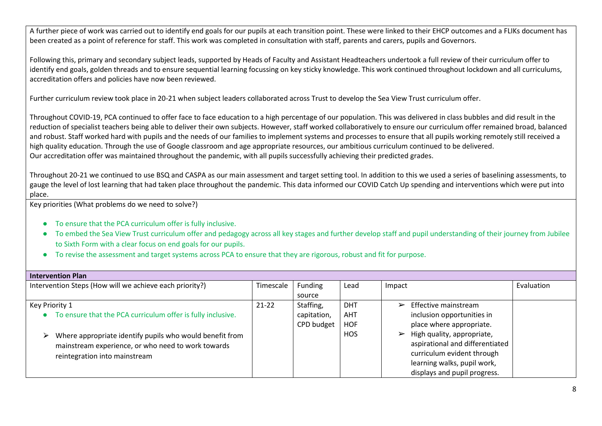A further piece of work was carried out to identify end goals for our pupils at each transition point. These were linked to their EHCP outcomes and a FLIKs document has been created as a point of reference for staff. This work was completed in consultation with staff, parents and carers, pupils and Governors.

Following this, primary and secondary subject leads, supported by Heads of Faculty and Assistant Headteachers undertook a full review of their curriculum offer to identify end goals, golden threads and to ensure sequential learning focussing on key sticky knowledge. This work continued throughout lockdown and all curriculums, accreditation offers and policies have now been reviewed.

Further curriculum review took place in 20-21 when subject leaders collaborated across Trust to develop the Sea View Trust curriculum offer.

Throughout COVID-19, PCA continued to offer face to face education to a high percentage of our population. This was delivered in class bubbles and did result in the reduction of specialist teachers being able to deliver their own subjects. However, staff worked collaboratively to ensure our curriculum offer remained broad, balanced and robust. Staff worked hard with pupils and the needs of our families to implement systems and processes to ensure that all pupils working remotely still received a high quality education. Through the use of Google classroom and age appropriate resources, our ambitious curriculum continued to be delivered. Our accreditation offer was maintained throughout the pandemic, with all pupils successfully achieving their predicted grades.

Throughout 20-21 we continued to use BSQ and CASPA as our main assessment and target setting tool. In addition to this we used a series of baselining assessments, to gauge the level of lost learning that had taken place throughout the pandemic. This data informed our COVID Catch Up spending and interventions which were put into place.

- To ensure that the PCA curriculum offer is fully inclusive.
- To embed the Sea View Trust curriculum offer and pedagogy across all key stages and further develop staff and pupil understanding of their journey from Jubilee to Sixth Form with a clear focus on end goals for our pupils.
- To revise the assessment and target systems across PCA to ensure that they are rigorous, robust and fit for purpose.

| <b>Intervention Plan</b>                                                                                                                                                                                                              |           |                                        |                                                      |                                                                                                                                                                                                                                                                |            |
|---------------------------------------------------------------------------------------------------------------------------------------------------------------------------------------------------------------------------------------|-----------|----------------------------------------|------------------------------------------------------|----------------------------------------------------------------------------------------------------------------------------------------------------------------------------------------------------------------------------------------------------------------|------------|
| Intervention Steps (How will we achieve each priority?)                                                                                                                                                                               | Timescale | Funding                                | Lead                                                 | Impact                                                                                                                                                                                                                                                         | Evaluation |
|                                                                                                                                                                                                                                       |           | source                                 |                                                      |                                                                                                                                                                                                                                                                |            |
| Key Priority 1<br>To ensure that the PCA curriculum offer is fully inclusive.<br>Where appropriate identify pupils who would benefit from<br>➤<br>mainstream experience, or who need to work towards<br>reintegration into mainstream | $21 - 22$ | Staffing,<br>capitation,<br>CPD budget | <b>DHT</b><br><b>AHT</b><br><b>HOF</b><br><b>HOS</b> | Effective mainstream<br>$\blacktriangleright$<br>inclusion opportunities in<br>place where appropriate.<br>High quality, appropriate,<br>$\blacktriangleright$<br>aspirational and differentiated<br>curriculum evident through<br>learning walks, pupil work, |            |
|                                                                                                                                                                                                                                       |           |                                        |                                                      | displays and pupil progress.                                                                                                                                                                                                                                   |            |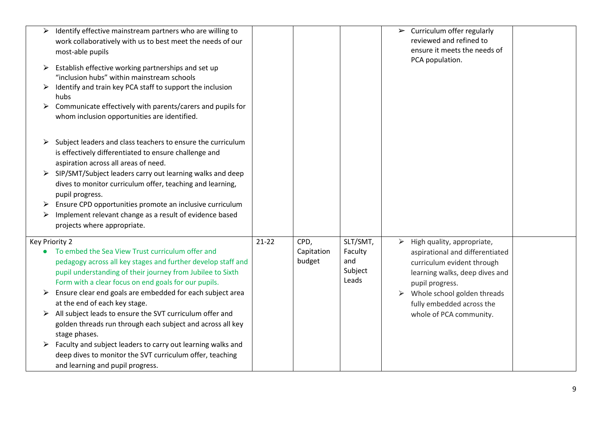|                | Identify effective mainstream partners who are willing to<br>work collaboratively with us to best meet the needs of our<br>most-able pupils                                                                                            |         |                      |                                    |   | $\triangleright$ Curriculum offer regularly<br>reviewed and refined to<br>ensure it meets the needs of<br>PCA population. |  |
|----------------|----------------------------------------------------------------------------------------------------------------------------------------------------------------------------------------------------------------------------------------|---------|----------------------|------------------------------------|---|---------------------------------------------------------------------------------------------------------------------------|--|
|                | Establish effective working partnerships and set up<br>"inclusion hubs" within mainstream schools                                                                                                                                      |         |                      |                                    |   |                                                                                                                           |  |
|                | Identify and train key PCA staff to support the inclusion<br>hubs                                                                                                                                                                      |         |                      |                                    |   |                                                                                                                           |  |
| ➤              | Communicate effectively with parents/carers and pupils for<br>whom inclusion opportunities are identified.                                                                                                                             |         |                      |                                    |   |                                                                                                                           |  |
|                | Subject leaders and class teachers to ensure the curriculum<br>is effectively differentiated to ensure challenge and<br>aspiration across all areas of need.                                                                           |         |                      |                                    |   |                                                                                                                           |  |
| ➤              | SIP/SMT/Subject leaders carry out learning walks and deep<br>dives to monitor curriculum offer, teaching and learning,<br>pupil progress.                                                                                              |         |                      |                                    |   |                                                                                                                           |  |
|                | Ensure CPD opportunities promote an inclusive curriculum<br>Implement relevant change as a result of evidence based<br>projects where appropriate.                                                                                     |         |                      |                                    |   |                                                                                                                           |  |
| Key Priority 2 |                                                                                                                                                                                                                                        | $21-22$ | CPD,                 | SLT/SMT,                           | ➤ | High quality, appropriate,                                                                                                |  |
|                | To embed the Sea View Trust curriculum offer and<br>pedagogy across all key stages and further develop staff and<br>pupil understanding of their journey from Jubilee to Sixth<br>Form with a clear focus on end goals for our pupils. |         | Capitation<br>budget | Faculty<br>and<br>Subject<br>Leads |   | aspirational and differentiated<br>curriculum evident through<br>learning walks, deep dives and<br>pupil progress.        |  |
| ➤              | Ensure clear end goals are embedded for each subject area<br>at the end of each key stage.                                                                                                                                             |         |                      |                                    |   | $\triangleright$ Whole school golden threads<br>fully embedded across the                                                 |  |
| ➤              | All subject leads to ensure the SVT curriculum offer and<br>golden threads run through each subject and across all key<br>stage phases.                                                                                                |         |                      |                                    |   | whole of PCA community.                                                                                                   |  |
| ➤              | Faculty and subject leaders to carry out learning walks and<br>deep dives to monitor the SVT curriculum offer, teaching<br>and learning and pupil progress.                                                                            |         |                      |                                    |   |                                                                                                                           |  |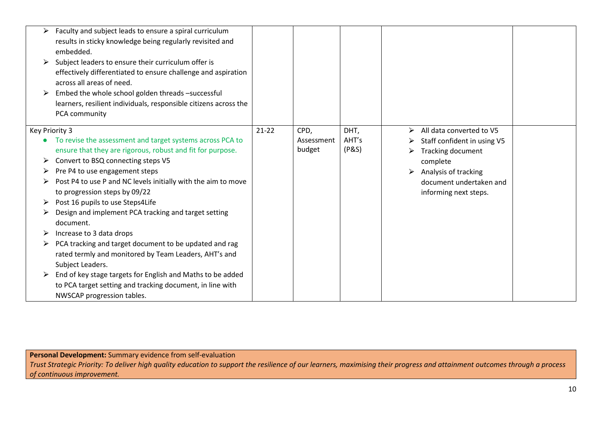| $\blacktriangleright$<br>➤ | Faculty and subject leads to ensure a spiral curriculum<br>results in sticky knowledge being regularly revisited and<br>embedded.<br>Subject leaders to ensure their curriculum offer is<br>effectively differentiated to ensure challenge and aspiration<br>across all areas of need.<br>Embed the whole school golden threads -successful<br>learners, resilient individuals, responsible citizens across the |           |                              |                        |                                                                                                              |  |
|----------------------------|-----------------------------------------------------------------------------------------------------------------------------------------------------------------------------------------------------------------------------------------------------------------------------------------------------------------------------------------------------------------------------------------------------------------|-----------|------------------------------|------------------------|--------------------------------------------------------------------------------------------------------------|--|
|                            | PCA community                                                                                                                                                                                                                                                                                                                                                                                                   |           |                              |                        |                                                                                                              |  |
| Key Priority 3             | To revise the assessment and target systems across PCA to<br>ensure that they are rigorous, robust and fit for purpose.                                                                                                                                                                                                                                                                                         | $21 - 22$ | CPD,<br>Assessment<br>budget | DHT,<br>AHT's<br>(P&S) | All data converted to V5<br>$\blacktriangleright$<br>Staff confident in using V5<br><b>Tracking document</b> |  |
| ➤                          | Convert to BSQ connecting steps V5                                                                                                                                                                                                                                                                                                                                                                              |           |                              |                        | complete                                                                                                     |  |
| ➤                          | Pre P4 to use engagement steps                                                                                                                                                                                                                                                                                                                                                                                  |           |                              |                        | $\triangleright$ Analysis of tracking                                                                        |  |
|                            | Post P4 to use P and NC levels initially with the aim to move<br>to progression steps by 09/22                                                                                                                                                                                                                                                                                                                  |           |                              |                        | document undertaken and<br>informing next steps.                                                             |  |
|                            | Post 16 pupils to use Steps4Life                                                                                                                                                                                                                                                                                                                                                                                |           |                              |                        |                                                                                                              |  |
|                            | Design and implement PCA tracking and target setting<br>document.                                                                                                                                                                                                                                                                                                                                               |           |                              |                        |                                                                                                              |  |
| ➤                          | Increase to 3 data drops                                                                                                                                                                                                                                                                                                                                                                                        |           |                              |                        |                                                                                                              |  |
|                            | PCA tracking and target document to be updated and rag<br>rated termly and monitored by Team Leaders, AHT's and<br>Subject Leaders.                                                                                                                                                                                                                                                                             |           |                              |                        |                                                                                                              |  |
| ➤                          | End of key stage targets for English and Maths to be added<br>to PCA target setting and tracking document, in line with<br>NWSCAP progression tables.                                                                                                                                                                                                                                                           |           |                              |                        |                                                                                                              |  |

**Personal Development:** Summary evidence from self-evaluation

*Trust Strategic Priority: To deliver high quality education to support the resilience of our learners, maximising their progress and attainment outcomes through a process of continuous improvement.*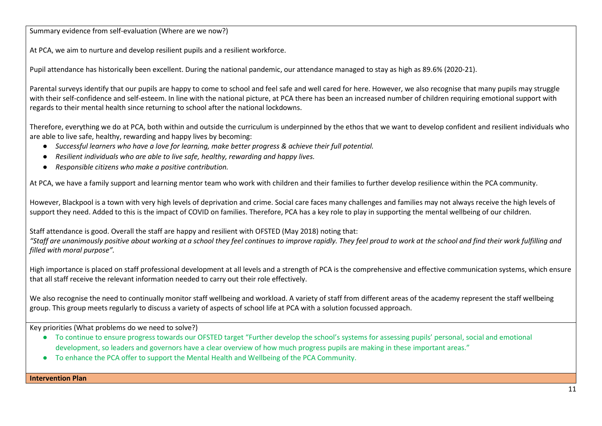Summary evidence from self-evaluation (Where are we now?)

At PCA, we aim to nurture and develop resilient pupils and a resilient workforce.

Pupil attendance has historically been excellent. During the national pandemic, our attendance managed to stay as high as 89.6% (2020-21).

Parental surveys identify that our pupils are happy to come to school and feel safe and well cared for here. However, we also recognise that many pupils may struggle with their self-confidence and self-esteem. In line with the national picture, at PCA there has been an increased number of children requiring emotional support with regards to their mental health since returning to school after the national lockdowns.

Therefore, everything we do at PCA, both within and outside the curriculum is underpinned by the ethos that we want to develop confident and resilient individuals who are able to live safe, healthy, rewarding and happy lives by becoming:

- *Successful learners who have a love for learning, make better progress & achieve their full potential.*
- *Resilient individuals who are able to live safe, healthy, rewarding and happy lives.*
- *Responsible citizens who make a positive contribution.*

At PCA, we have a family support and learning mentor team who work with children and their families to further develop resilience within the PCA community.

However, Blackpool is a town with very high levels of deprivation and crime. Social care faces many challenges and families may not always receive the high levels of support they need. Added to this is the impact of COVID on families. Therefore, PCA has a key role to play in supporting the mental wellbeing of our children.

Staff attendance is good. Overall the staff are happy and resilient with OFSTED (May 2018) noting that: "Staff are unanimously positive about working at a school they feel continues to improve rapidly. They feel proud to work at the school and find their work fulfilling and *filled with moral purpose".*

High importance is placed on staff professional development at all levels and a strength of PCA is the comprehensive and effective communication systems, which ensure that all staff receive the relevant information needed to carry out their role effectively.

We also recognise the need to continually monitor staff wellbeing and workload. A variety of staff from different areas of the academy represent the staff wellbeing group. This group meets regularly to discuss a variety of aspects of school life at PCA with a solution focussed approach.

Key priorities (What problems do we need to solve?)

- To continue to ensure progress towards our OFSTED target "Further develop the school's systems for assessing pupils' personal, social and emotional development, so leaders and governors have a clear overview of how much progress pupils are making in these important areas."
- To enhance the PCA offer to support the Mental Health and Wellbeing of the PCA Community.

**Intervention Plan**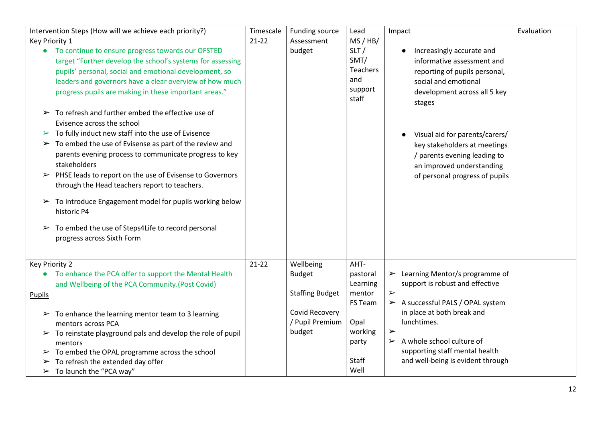| Intervention Steps (How will we achieve each priority?)                                                                                                                                                                                                                                                                                                                                                                                                                                                                                                                                                                                                                                                                                                                                                                                                                                                                                                                                       | Timescale | Funding source                                                                                      | Lead                                                                                                  | Impact                                                                                                                                                                                                                                                                                                                                                | Evaluation |
|-----------------------------------------------------------------------------------------------------------------------------------------------------------------------------------------------------------------------------------------------------------------------------------------------------------------------------------------------------------------------------------------------------------------------------------------------------------------------------------------------------------------------------------------------------------------------------------------------------------------------------------------------------------------------------------------------------------------------------------------------------------------------------------------------------------------------------------------------------------------------------------------------------------------------------------------------------------------------------------------------|-----------|-----------------------------------------------------------------------------------------------------|-------------------------------------------------------------------------------------------------------|-------------------------------------------------------------------------------------------------------------------------------------------------------------------------------------------------------------------------------------------------------------------------------------------------------------------------------------------------------|------------|
| Key Priority 1<br>• To continue to ensure progress towards our OFSTED<br>target "Further develop the school's systems for assessing<br>pupils' personal, social and emotional development, so<br>leaders and governors have a clear overview of how much<br>progress pupils are making in these important areas."<br>To refresh and further embed the effective use of<br>$\blacktriangleright$<br>Evisence across the school<br>$\triangleright$ To fully induct new staff into the use of Evisence<br>To embed the use of Evisense as part of the review and<br>$\blacktriangleright$<br>parents evening process to communicate progress to key<br>stakeholders<br>$\triangleright$ PHSE leads to report on the use of Evisense to Governors<br>through the Head teachers report to teachers.<br>$\triangleright$ To introduce Engagement model for pupils working below<br>historic P4<br>$\triangleright$ To embed the use of Steps4Life to record personal<br>progress across Sixth Form | $21-22$   | Assessment<br>budget                                                                                | MS/HB/<br>SLT/<br>SMT/<br><b>Teachers</b><br>and<br>support<br>staff                                  | Increasingly accurate and<br>$\bullet$<br>informative assessment and<br>reporting of pupils personal,<br>social and emotional<br>development across all 5 key<br>stages<br>Visual aid for parents/carers/<br>$\bullet$<br>key stakeholders at meetings<br>/ parents evening leading to<br>an improved understanding<br>of personal progress of pupils |            |
| Key Priority 2<br>To enhance the PCA offer to support the Mental Health<br>$\bullet$<br>and Wellbeing of the PCA Community.(Post Covid)<br><b>Pupils</b><br>To enhance the learning mentor team to 3 learning<br>➤<br>mentors across PCA<br>$\triangleright$ To reinstate playground pals and develop the role of pupil<br>mentors<br>$\triangleright$ To embed the OPAL programme across the school<br>To refresh the extended day offer<br>➤<br>$\triangleright$ To launch the "PCA way"                                                                                                                                                                                                                                                                                                                                                                                                                                                                                                    | $21-22$   | Wellbeing<br><b>Budget</b><br><b>Staffing Budget</b><br>Covid Recovery<br>/ Pupil Premium<br>budget | AHT-<br>pastoral<br>Learning<br>mentor<br>FS Team<br>Opal<br>working<br>party<br><b>Staff</b><br>Well | $\triangleright$ Learning Mentor/s programme of<br>support is robust and effective<br>$\blacktriangleright$<br>A successful PALS / OPAL system<br>in place at both break and<br>lunchtimes.<br>$\blacktriangleright$<br>$\triangleright$ A whole school culture of<br>supporting staff mental health<br>and well-being is evident through             |            |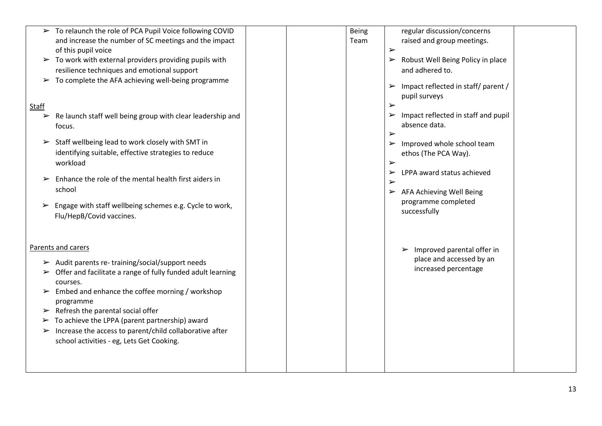| > To relaunch the role of PCA Pupil Voice following COVID<br>and increase the number of SC meetings and the impact<br>of this pupil voice                                                                                                                                                                                                                                                                                                                                                                                                                                                                                   | regular discussion/concerns<br>Being<br>raised and group meetings.<br>Team<br>$\blacktriangleright$                                                                                                                                                                                                                                                                                                                                                                                                                    |
|-----------------------------------------------------------------------------------------------------------------------------------------------------------------------------------------------------------------------------------------------------------------------------------------------------------------------------------------------------------------------------------------------------------------------------------------------------------------------------------------------------------------------------------------------------------------------------------------------------------------------------|------------------------------------------------------------------------------------------------------------------------------------------------------------------------------------------------------------------------------------------------------------------------------------------------------------------------------------------------------------------------------------------------------------------------------------------------------------------------------------------------------------------------|
| $\triangleright$ To work with external providers providing pupils with<br>resilience techniques and emotional support<br>$\triangleright$ To complete the AFA achieving well-being programme<br>Staff<br>Re launch staff well being group with clear leadership and<br>$\blacktriangleright$<br>focus.<br>Staff wellbeing lead to work closely with SMT in<br>➤<br>identifying suitable, effective strategies to reduce<br>workload<br>Enhance the role of the mental health first aiders in<br>$\blacktriangleright$<br>school<br>Engage with staff wellbeing schemes e.g. Cycle to work,<br>➤<br>Flu/HepB/Covid vaccines. | > Robust Well Being Policy in place<br>and adhered to.<br>$\triangleright$ Impact reflected in staff/ parent /<br>pupil surveys<br>$\blacktriangleright$<br>$\triangleright$ Impact reflected in staff and pupil<br>absence data.<br>$\blacktriangleright$<br>$\triangleright$ Improved whole school team<br>ethos (The PCA Way).<br>$\blacktriangleright$<br>$\triangleright$ LPPA award status achieved<br>$\blacktriangleright$<br>$\triangleright$ AFA Achieving Well Being<br>programme completed<br>successfully |
| Parents and carers<br>$\triangleright$ Audit parents re-training/social/support needs<br>$\triangleright$ Offer and facilitate a range of fully funded adult learning<br>courses.<br>Embed and enhance the coffee morning / workshop<br>➤<br>programme<br>$\triangleright$ Refresh the parental social offer<br>$\triangleright$ To achieve the LPPA (parent partnership) award<br>Increase the access to parent/child collaborative after<br>$\blacktriangleright$<br>school activities - eg, Lets Get Cooking.                                                                                                            | $\triangleright$ Improved parental offer in<br>place and accessed by an<br>increased percentage                                                                                                                                                                                                                                                                                                                                                                                                                        |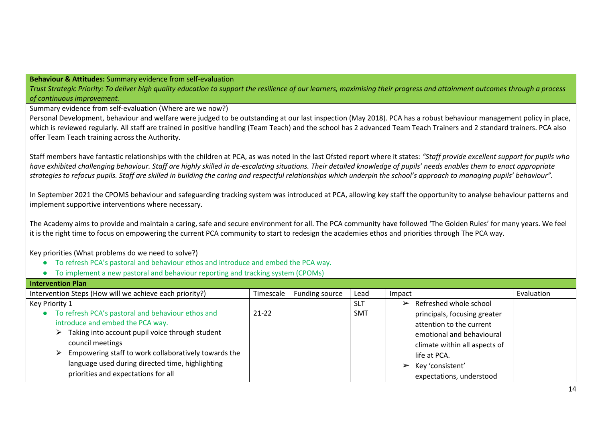**Behaviour & Attitudes:** Summary evidence from self-evaluation

*Trust Strategic Priority: To deliver high quality education to support the resilience of our learners, maximising their progress and attainment outcomes through a process of continuous improvement.*

Summary evidence from self-evaluation (Where are we now?)

Personal Development, behaviour and welfare were judged to be outstanding at our last inspection (May 2018). PCA has a robust behaviour management policy in place, which is reviewed regularly. All staff are trained in positive handling (Team Teach) and the school has 2 advanced Team Teach Trainers and 2 standard trainers. PCA also offer Team Teach training across the Authority.

Staff members have fantastic relationships with the children at PCA, as was noted in the last Ofsted report where it states: *"Staff provide excellent support for pupils who have exhibited challenging behaviour. Staff are highly skilled in de-escalating situations. Their detailed knowledge of pupils' needs enables them to enact appropriate strategies to refocus pupils. Staff are skilled in building the caring and respectful relationships which underpin the school's approach to managing pupils' behaviour".*

In September 2021 the CPOMS behaviour and safeguarding tracking system was introduced at PCA, allowing key staff the opportunity to analyse behaviour patterns and implement supportive interventions where necessary.

The Academy aims to provide and maintain a caring, safe and secure environment for all. The PCA community have followed 'The Golden Rules' for many years. We feel it is the right time to focus on empowering the current PCA community to start to redesign the academies ethos and priorities through The PCA way.

- To refresh PCA's pastoral and behaviour ethos and introduce and embed the PCA way.
- To implement a new pastoral and behaviour reporting and tracking system (CPOMs)

| Intervention Plan                                                        |           |                |            |                                         |            |
|--------------------------------------------------------------------------|-----------|----------------|------------|-----------------------------------------|------------|
| Intervention Steps (How will we achieve each priority?)                  | Timescale | Funding source | Lead       | Impact                                  | Evaluation |
| Key Priority 1                                                           |           |                | <b>SLT</b> | $\triangleright$ Refreshed whole school |            |
| To refresh PCA's pastoral and behaviour ethos and                        | $21 - 22$ |                | <b>SMT</b> | principals, focusing greater            |            |
| introduce and embed the PCA way.                                         |           |                |            | attention to the current                |            |
| Taking into account pupil voice through student<br>⋗                     |           |                |            | emotional and behavioural               |            |
| council meetings                                                         |           |                |            | climate within all aspects of           |            |
| Empowering staff to work collaboratively towards the<br>$\triangleright$ |           |                |            | life at PCA.                            |            |
| language used during directed time, highlighting                         |           |                |            | $\triangleright$ Key 'consistent'       |            |
| priorities and expectations for all                                      |           |                |            | expectations, understood                |            |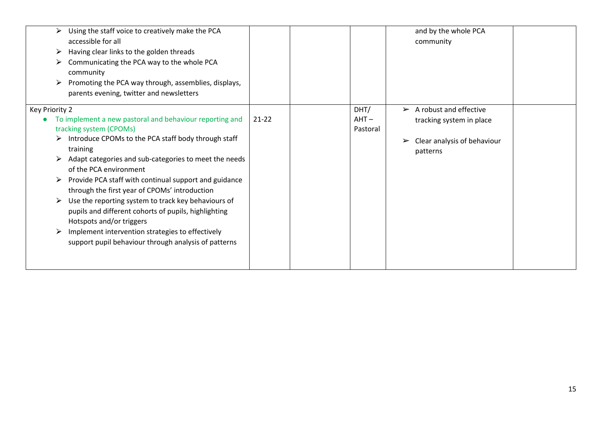| Using the staff voice to creatively make the PCA<br>accessible for all<br>Having clear links to the golden threads<br>➤<br>Communicating the PCA way to the whole PCA<br>➤<br>community<br>Promoting the PCA way through, assemblies, displays,<br>parents evening, twitter and newsletters                                                                                                                                                                                                                                                                                                                                                  |           |                             | and by the whole PCA<br>community                                                                                   |
|----------------------------------------------------------------------------------------------------------------------------------------------------------------------------------------------------------------------------------------------------------------------------------------------------------------------------------------------------------------------------------------------------------------------------------------------------------------------------------------------------------------------------------------------------------------------------------------------------------------------------------------------|-----------|-----------------------------|---------------------------------------------------------------------------------------------------------------------|
| Key Priority 2<br>To implement a new pastoral and behaviour reporting and<br>tracking system (CPOMs)<br>$\triangleright$ Introduce CPOMs to the PCA staff body through staff<br>training<br>Adapt categories and sub-categories to meet the needs<br>of the PCA environment<br>Provide PCA staff with continual support and guidance<br>through the first year of CPOMs' introduction<br>Use the reporting system to track key behaviours of<br>pupils and different cohorts of pupils, highlighting<br>Hotspots and/or triggers<br>Implement intervention strategies to effectively<br>support pupil behaviour through analysis of patterns | $21 - 22$ | DHT/<br>$AHT -$<br>Pastoral | $\triangleright$ A robust and effective<br>tracking system in place<br>Clear analysis of behaviour<br>➤<br>patterns |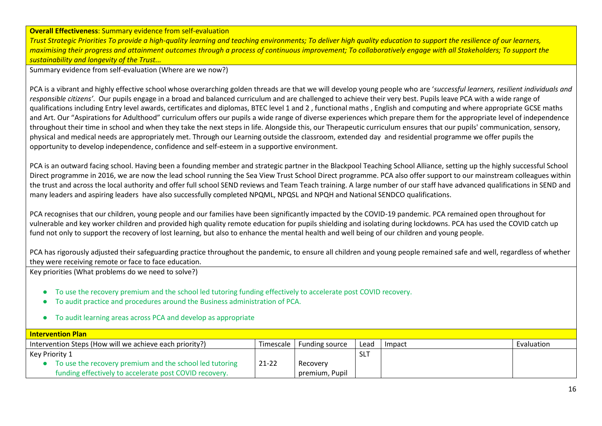# **Overall Effectiveness**: Summary evidence from self-evaluation

*Trust Strategic Priorities To provide a high-quality learning and teaching environments; To deliver high quality education to support the resilience of our learners, maximising their progress and attainment outcomes through a process of continuous improvement; To collaboratively engage with all Stakeholders; To support the sustainability and longevity of the Trust...*

Summary evidence from self-evaluation (Where are we now?)

PCA is a vibrant and highly effective school whose overarching golden threads are that we will develop young people who are '*successful learners, resilient individuals and responsible citizens'*. Our pupils engage in a broad and balanced curriculum and are challenged to achieve their very best. Pupils leave PCA with a wide range of qualifications including Entry level awards, certificates and diplomas, BTEC level 1 and 2 , functional maths , English and computing and where appropriate GCSE maths and Art. Our "Aspirations for Adulthood" curriculum offers our pupils a wide range of diverse experiences which prepare them for the appropriate level of independence throughout their time in school and when they take the next steps in life. Alongside this, our Therapeutic curriculum ensures that our pupils' communication, sensory, physical and medical needs are appropriately met. Through our Learning outside the classroom, extended day and residential programme we offer pupils the opportunity to develop independence, confidence and self-esteem in a supportive environment.

PCA is an outward facing school. Having been a founding member and strategic partner in the Blackpool Teaching School Alliance, setting up the highly successful School Direct programme in 2016, we are now the lead school running the Sea View Trust School Direct programme. PCA also offer support to our mainstream colleagues within the trust and across the local authority and offer full school SEND reviews and Team Teach training. A large number of our staff have advanced qualifications in SEND and many leaders and aspiring leaders have also successfully completed NPQML, NPQSL and NPQH and National SENDCO qualifications.

PCA recognises that our children, young people and our families have been significantly impacted by the COVID-19 pandemic. PCA remained open throughout for vulnerable and key worker children and provided high quality remote education for pupils shielding and isolating during lockdowns. PCA has used the COVID catch up fund not only to support the recovery of lost learning, but also to enhance the mental health and well being of our children and young people.

PCA has rigorously adjusted their safeguarding practice throughout the pandemic, to ensure all children and young people remained safe and well, regardless of whether they were receiving remote or face to face education.

- To use the recovery premium and the school led tutoring funding effectively to accelerate post COVID recovery.
- To audit practice and procedures around the Business administration of PCA.
- To audit learning areas across PCA and develop as appropriate

| <b>Intervention Plan</b>                                |           |                       |            |        |            |
|---------------------------------------------------------|-----------|-----------------------|------------|--------|------------|
| Intervention Steps (How will we achieve each priority?) | Timescale | <b>Funding source</b> | Lead       | Impact | Evaluation |
| Key Priority 1                                          |           |                       | <b>SLT</b> |        |            |
| To use the recovery premium and the school led tutoring | 21-22     | Recovery              |            |        |            |
| funding effectively to accelerate post COVID recovery.  |           | premium, Pupil        |            |        |            |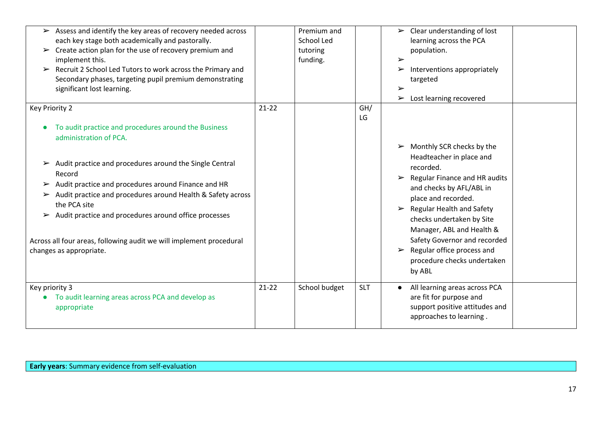| $\triangleright$ Assess and identify the key areas of recovery needed across<br>each key stage both academically and pastorally.<br>$\triangleright$ Create action plan for the use of recovery premium and<br>implement this.<br>$\triangleright$ Recruit 2 School Led Tutors to work across the Primary and<br>Secondary phases, targeting pupil premium demonstrating<br>significant lost learning.    |         | Premium and<br>School Led<br>tutoring<br>funding. |            | $\triangleright$ Clear understanding of lost<br>learning across the PCA<br>population.<br>$\blacktriangleright$<br>Interventions appropriately<br>➤<br>targeted<br>$\blacktriangleright$<br>Lost learning recovered<br>$\blacktriangleright$                                                                                                                                                                             |
|-----------------------------------------------------------------------------------------------------------------------------------------------------------------------------------------------------------------------------------------------------------------------------------------------------------------------------------------------------------------------------------------------------------|---------|---------------------------------------------------|------------|--------------------------------------------------------------------------------------------------------------------------------------------------------------------------------------------------------------------------------------------------------------------------------------------------------------------------------------------------------------------------------------------------------------------------|
| Key Priority 2<br>To audit practice and procedures around the Business<br>$\bullet$<br>administration of PCA.                                                                                                                                                                                                                                                                                             | $21-22$ |                                                   | GH/<br>LG  |                                                                                                                                                                                                                                                                                                                                                                                                                          |
| $\triangleright$ Audit practice and procedures around the Single Central<br>Record<br>Audit practice and procedures around Finance and HR<br>Audit practice and procedures around Health & Safety across<br>➤<br>the PCA site<br>$\triangleright$ Audit practice and procedures around office processes<br>Across all four areas, following audit we will implement procedural<br>changes as appropriate. |         |                                                   |            | $\triangleright$ Monthly SCR checks by the<br>Headteacher in place and<br>recorded.<br>$\triangleright$ Regular Finance and HR audits<br>and checks by AFL/ABL in<br>place and recorded.<br>$\triangleright$ Regular Health and Safety<br>checks undertaken by Site<br>Manager, ABL and Health &<br>Safety Governor and recorded<br>$\triangleright$ Regular office process and<br>procedure checks undertaken<br>by ABL |
| Key priority 3<br>To audit learning areas across PCA and develop as<br>appropriate                                                                                                                                                                                                                                                                                                                        | $21-22$ | School budget                                     | <b>SLT</b> | All learning areas across PCA<br>$\bullet$<br>are fit for purpose and<br>support positive attitudes and<br>approaches to learning.                                                                                                                                                                                                                                                                                       |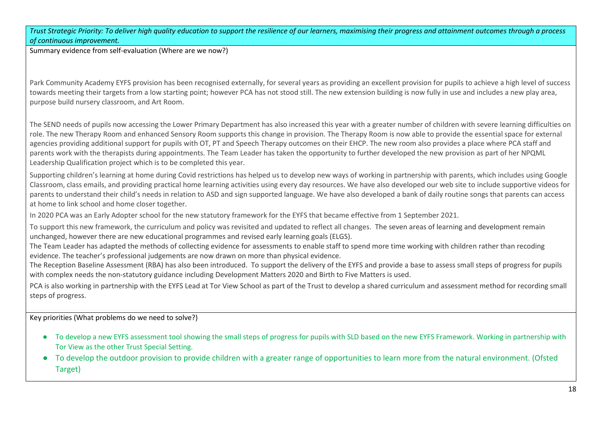*Trust Strategic Priority: To deliver high quality education to support the resilience of our learners, maximising their progress and attainment outcomes through a process of continuous improvement.*

Summary evidence from self-evaluation (Where are we now?)

Park Community Academy EYFS provision has been recognised externally, for several years as providing an excellent provision for pupils to achieve a high level of success towards meeting their targets from a low starting point; however PCA has not stood still. The new extension building is now fully in use and includes a new play area, purpose build nursery classroom, and Art Room.

The SEND needs of pupils now accessing the Lower Primary Department has also increased this year with a greater number of children with severe learning difficulties on role. The new Therapy Room and enhanced Sensory Room supports this change in provision. The Therapy Room is now able to provide the essential space for external agencies providing additional support for pupils with OT, PT and Speech Therapy outcomes on their EHCP. The new room also provides a place where PCA staff and parents work with the therapists during appointments. The Team Leader has taken the opportunity to further developed the new provision as part of her NPQML Leadership Qualification project which is to be completed this year.

Supporting children's learning at home during Covid restrictions has helped us to develop new ways of working in partnership with parents, which includes using Google Classroom, class emails, and providing practical home learning activities using every day resources. We have also developed our web site to include supportive videos for parents to understand their child's needs in relation to ASD and sign supported language. We have also developed a bank of daily routine songs that parents can access at home to link school and home closer together.

In 2020 PCA was an Early Adopter school for the new statutory framework for the EYFS that became effective from 1 September 2021.

To support this new framework, the curriculum and policy was revisited and updated to reflect all changes. The seven areas of learning and development remain unchanged, however there are new educational programmes and revised early learning goals (ELGS).

The Team Leader has adapted the methods of collecting evidence for assessments to enable staff to spend more time working with children rather than recoding evidence. The teacher's professional judgements are now drawn on more than physical evidence.

The Reception Baseline Assessment (RBA) has also been introduced. To support the delivery of the EYFS and provide a base to assess small steps of progress for pupils with complex needs the non-statutory guidance including Development Matters 2020 and Birth to Five Matters is used.

PCA is also working in partnership with the EYFS Lead at Tor View School as part of the Trust to develop a shared curriculum and assessment method for recording small steps of progress.

- To develop a new EYFS assessment tool showing the small steps of progress for pupils with SLD based on the new EYFS Framework. Working in partnership with Tor View as the other Trust Special Setting.
- To develop the outdoor provision to provide children with a greater range of opportunities to learn more from the natural environment. (Ofsted Target)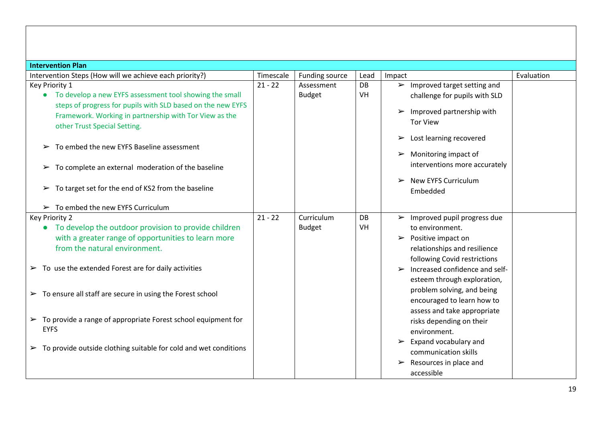| <b>Intervention Plan</b>                                                          |           |                |           |                                                         |            |
|-----------------------------------------------------------------------------------|-----------|----------------|-----------|---------------------------------------------------------|------------|
| Intervention Steps (How will we achieve each priority?)                           | Timescale | Funding source | Lead      | Impact                                                  | Evaluation |
| Key Priority 1                                                                    | $21 - 22$ | Assessment     | <b>DB</b> | $\triangleright$ Improved target setting and            |            |
| • To develop a new EYFS assessment tool showing the small                         |           | <b>Budget</b>  | VH        | challenge for pupils with SLD                           |            |
| steps of progress for pupils with SLD based on the new EYFS                       |           |                |           | Improved partnership with<br>$\blacktriangleright$      |            |
| Framework. Working in partnership with Tor View as the                            |           |                |           | <b>Tor View</b>                                         |            |
| other Trust Special Setting.                                                      |           |                |           |                                                         |            |
|                                                                                   |           |                |           | Lost learning recovered<br>➤                            |            |
| To embed the new EYFS Baseline assessment                                         |           |                |           |                                                         |            |
|                                                                                   |           |                |           | Monitoring impact of<br>$\blacktriangleright$           |            |
| $\triangleright$ To complete an external moderation of the baseline               |           |                |           | interventions more accurately                           |            |
|                                                                                   |           |                |           | <b>New EYFS Curriculum</b><br>$\blacktriangleright$     |            |
| To target set for the end of KS2 from the baseline<br>$\blacktriangleright$       |           |                |           | Embedded                                                |            |
|                                                                                   |           |                |           |                                                         |            |
| $\triangleright$ To embed the new EYFS Curriculum                                 |           |                |           |                                                         |            |
| Key Priority 2                                                                    | $21 - 22$ | Curriculum     | <b>DB</b> | $\triangleright$ Improved pupil progress due            |            |
| • To develop the outdoor provision to provide children                            |           | <b>Budget</b>  | VH        | to environment.                                         |            |
| with a greater range of opportunities to learn more                               |           |                |           | $\triangleright$ Positive impact on                     |            |
| from the natural environment.                                                     |           |                |           | relationships and resilience                            |            |
|                                                                                   |           |                |           | following Covid restrictions                            |            |
| $\triangleright$ To use the extended Forest are for daily activities              |           |                |           | Increased confidence and self-<br>$\blacktriangleright$ |            |
|                                                                                   |           |                |           | esteem through exploration,                             |            |
| $\triangleright$ To ensure all staff are secure in using the Forest school        |           |                |           | problem solving, and being                              |            |
|                                                                                   |           |                |           | encouraged to learn how to                              |            |
|                                                                                   |           |                |           | assess and take appropriate                             |            |
| $\triangleright$ To provide a range of appropriate Forest school equipment for    |           |                |           | risks depending on their                                |            |
| <b>EYFS</b>                                                                       |           |                |           | environment.                                            |            |
| $\triangleright$ To provide outside clothing suitable for cold and wet conditions |           |                |           | $\triangleright$ Expand vocabulary and                  |            |
|                                                                                   |           |                |           | communication skills                                    |            |
|                                                                                   |           |                |           | $\triangleright$ Resources in place and                 |            |
|                                                                                   |           |                |           | accessible                                              |            |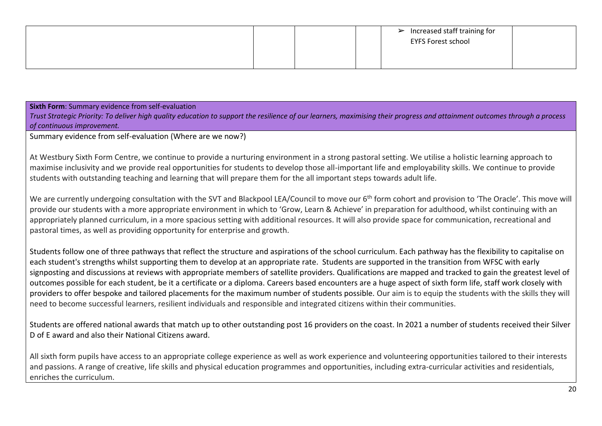|  | $\triangleright$ Increased staff training for<br><b>EYFS Forest school</b> |
|--|----------------------------------------------------------------------------|
|  |                                                                            |

**Sixth Form**: Summary evidence from self-evaluation

*Trust Strategic Priority: To deliver high quality education to support the resilience of our learners, maximising their progress and attainment outcomes through a process of continuous improvement.*

Summary evidence from self-evaluation (Where are we now?)

At Westbury Sixth Form Centre, we continue to provide a nurturing environment in a strong pastoral setting. We utilise a holistic learning approach to maximise inclusivity and we provide real opportunities for students to develop those all-important life and employability skills. We continue to provide students with outstanding teaching and learning that will prepare them for the all important steps towards adult life.

We are currently undergoing consultation with the SVT and Blackpool LEA/Council to move our 6<sup>th</sup> form cohort and provision to 'The Oracle'. This move will provide our students with a more appropriate environment in which to 'Grow, Learn & Achieve' in preparation for adulthood, whilst continuing with an appropriately planned curriculum, in a more spacious setting with additional resources. It will also provide space for communication, recreational and pastoral times, as well as providing opportunity for enterprise and growth.

Students follow one of three pathways that reflect the structure and aspirations of the school curriculum. Each pathway has the flexibility to capitalise on each student's strengths whilst supporting them to develop at an appropriate rate. Students are supported in the transition from WFSC with early signposting and discussions at reviews with appropriate members of satellite providers. Qualifications are mapped and tracked to gain the greatest level of outcomes possible for each student, be it a certificate or a diploma. Careers based encounters are a huge aspect of sixth form life, staff work closely with providers to offer bespoke and tailored placements for the maximum number of students possible. Our aim is to equip the students with the skills they will need to become successful learners, resilient individuals and responsible and integrated citizens within their communities.

Students are offered national awards that match up to other outstanding post 16 providers on the coast. In 2021 a number of students received their Silver D of E award and also their National Citizens award.

All sixth form pupils have access to an appropriate college experience as well as work experience and volunteering opportunities tailored to their interests and passions. A range of creative, life skills and physical education programmes and opportunities, including extra-curricular activities and residentials, enriches the curriculum.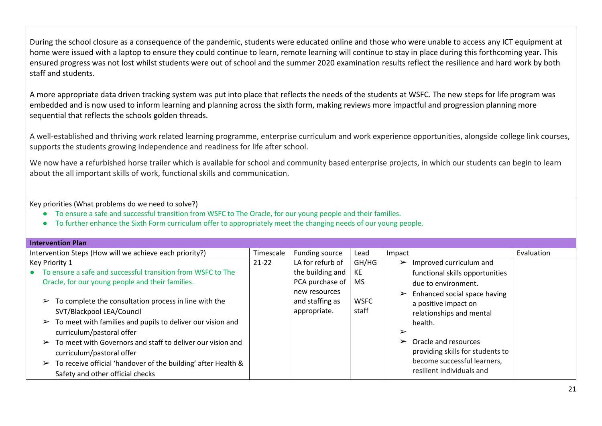During the school closure as a consequence of the pandemic, students were educated online and those who were unable to access any ICT equipment at home were issued with a laptop to ensure they could continue to learn, remote learning will continue to stay in place during this forthcoming year. This ensured progress was not lost whilst students were out of school and the summer 2020 examination results reflect the resilience and hard work by both staff and students.

A more appropriate data driven tracking system was put into place that reflects the needs of the students at WSFC. The new steps for life program was embedded and is now used to inform learning and planning across the sixth form, making reviews more impactful and progression planning more sequential that reflects the schools golden threads.

A well-established and thriving work related learning programme, enterprise curriculum and work experience opportunities, alongside college link courses, supports the students growing independence and readiness for life after school.

We now have a refurbished horse trailer which is available for school and community based enterprise projects, in which our students can begin to learn about the all important skills of work, functional skills and communication.

- To ensure a safe and successful transition from WSFC to The Oracle, for our young people and their families.
- To further enhance the Sixth Form curriculum offer to appropriately meet the changing needs of our young people.

| Intervention Plan                                                                                                                                                                                                                                                                                                                                                                                                                        |           |                                                  |                      |                                                                                                                                                                                                                                                                            |            |
|------------------------------------------------------------------------------------------------------------------------------------------------------------------------------------------------------------------------------------------------------------------------------------------------------------------------------------------------------------------------------------------------------------------------------------------|-----------|--------------------------------------------------|----------------------|----------------------------------------------------------------------------------------------------------------------------------------------------------------------------------------------------------------------------------------------------------------------------|------------|
| Intervention Steps (How will we achieve each priority?)                                                                                                                                                                                                                                                                                                                                                                                  | Timescale | Funding source                                   | Lead                 | Impact                                                                                                                                                                                                                                                                     | Evaluation |
| Key Priority 1                                                                                                                                                                                                                                                                                                                                                                                                                           | $21 - 22$ | LA for refurb of                                 | GH/HG                | Improved curriculum and<br>$\blacktriangleright$                                                                                                                                                                                                                           |            |
| To ensure a safe and successful transition from WSFC to The                                                                                                                                                                                                                                                                                                                                                                              |           | the building and                                 | KE                   | functional skills opportunities                                                                                                                                                                                                                                            |            |
| Oracle, for our young people and their families.                                                                                                                                                                                                                                                                                                                                                                                         |           | PCA purchase of                                  | <b>MS</b>            | due to environment.                                                                                                                                                                                                                                                        |            |
| To complete the consultation process in line with the<br>$\blacktriangleright$<br>SVT/Blackpool LEA/Council<br>$\triangleright$ To meet with families and pupils to deliver our vision and<br>curriculum/pastoral offer<br>To meet with Governors and staff to deliver our vision and<br>curriculum/pastoral offer<br>$\triangleright$ To receive official 'handover of the building' after Health &<br>Safety and other official checks |           | new resources<br>and staffing as<br>appropriate. | <b>WSFC</b><br>staff | Enhanced social space having<br>$\blacktriangleright$<br>a positive impact on<br>relationships and mental<br>health.<br>➤<br>Oracle and resources<br>$\blacktriangleright$<br>providing skills for students to<br>become successful learners,<br>resilient individuals and |            |